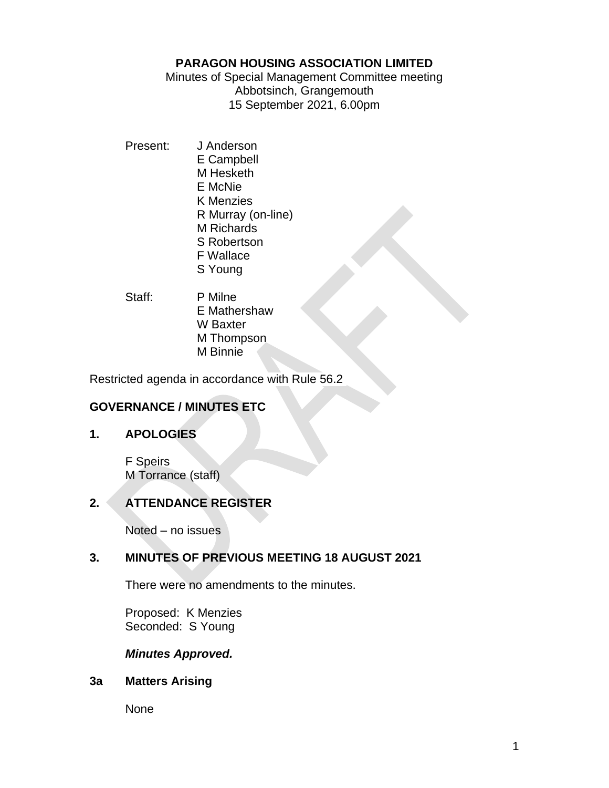### **PARAGON HOUSING ASSOCIATION LIMITED**

Minutes of Special Management Committee meeting Abbotsinch, Grangemouth 15 September 2021, 6.00pm

- Present: J Anderson E Campbell M Hesketh E McNie K Menzies R Murray (on-line) M Richards S Robertson F Wallace S Young
- Staff: P Milne E Mathershaw W Baxter M Thompson M Binnie

Restricted agenda in accordance with Rule 56.2

# **GOVERNANCE / MINUTES ETC**

# **1. APOLOGIES**

F Speirs M Torrance (staff)

# **2. ATTENDANCE REGISTER**

Noted – no issues

# **3. MINUTES OF PREVIOUS MEETING 18 AUGUST 2021**

There were no amendments to the minutes.

Proposed: K Menzies Seconded: S Young

# *Minutes Approved.*

# **3a Matters Arising**

None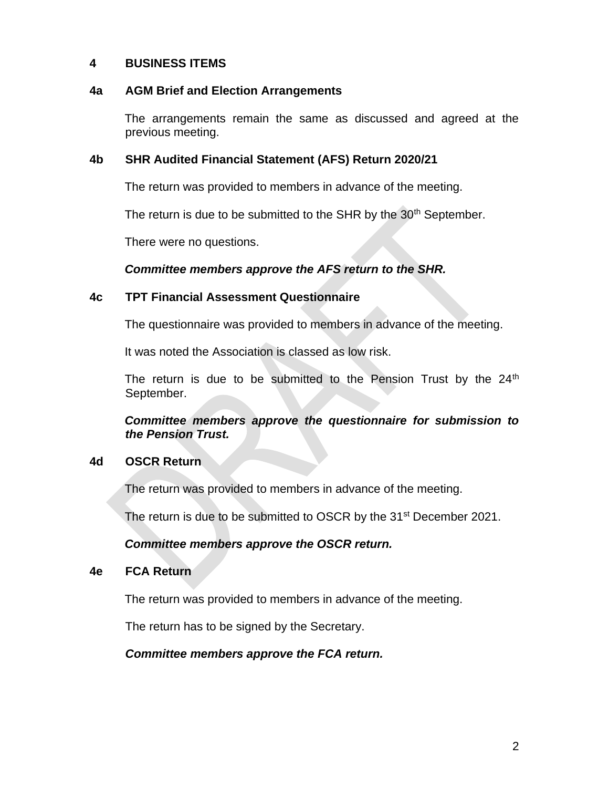### **4 BUSINESS ITEMS**

#### **4a AGM Brief and Election Arrangements**

The arrangements remain the same as discussed and agreed at the previous meeting.

### **4b SHR Audited Financial Statement (AFS) Return 2020/21**

The return was provided to members in advance of the meeting.

The return is due to be submitted to the SHR by the 30<sup>th</sup> September.

There were no questions.

### *Committee members approve the AFS return to the SHR.*

### **4c TPT Financial Assessment Questionnaire**

The questionnaire was provided to members in advance of the meeting.

It was noted the Association is classed as low risk.

The return is due to be submitted to the Pension Trust by the  $24<sup>th</sup>$ September.

*Committee members approve the questionnaire for submission to the Pension Trust.*

### **4d OSCR Return**

The return was provided to members in advance of the meeting.

The return is due to be submitted to OSCR by the 31<sup>st</sup> December 2021.

### *Committee members approve the OSCR return.*

### **4e FCA Return**

The return was provided to members in advance of the meeting.

The return has to be signed by the Secretary.

### *Committee members approve the FCA return.*